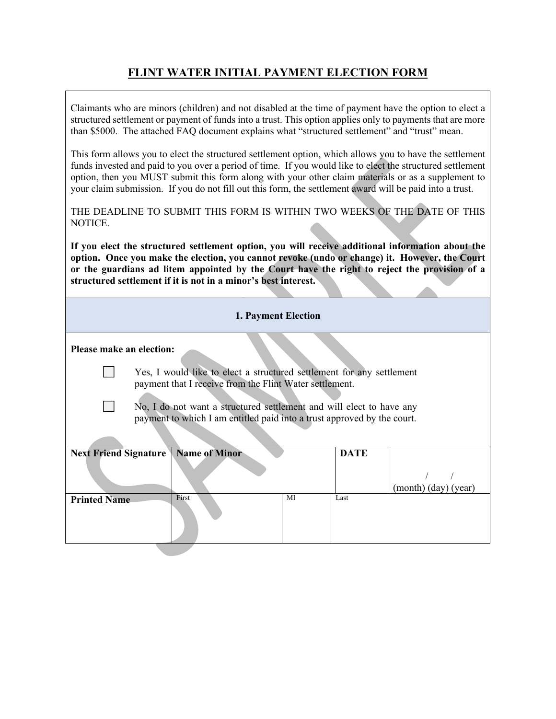## **FLINT WATER INITIAL PAYMENT ELECTION FORM**

| your claim submission. If you do not fill out this form, the settlement award will be paid into a trust.<br>NOTICE.<br>structured settlement if it is not in a minor's best interest.<br>1. Payment Election<br>Please make an election:<br>Yes, I would like to elect a structured settlement for any settlement<br>payment that I receive from the Flint Water settlement.<br>No, I do not want a structured settlement and will elect to have any<br>payment to which I am entitled paid into a trust approved by the court.<br><b>Name of Minor</b><br><b>Next Friend Signature</b><br><b>DATE</b><br>(month) (day) (year)<br>First<br><b>Printed Name</b><br>MI<br>Last | Claimants who are minors (children) and not disabled at the time of payment have the option to elect a<br>structured settlement or payment of funds into a trust. This option applies only to payments that are more<br>than \$5000. The attached FAQ document explains what "structured settlement" and "trust" mean.      |  |  |  |  |  |
|------------------------------------------------------------------------------------------------------------------------------------------------------------------------------------------------------------------------------------------------------------------------------------------------------------------------------------------------------------------------------------------------------------------------------------------------------------------------------------------------------------------------------------------------------------------------------------------------------------------------------------------------------------------------------|-----------------------------------------------------------------------------------------------------------------------------------------------------------------------------------------------------------------------------------------------------------------------------------------------------------------------------|--|--|--|--|--|
|                                                                                                                                                                                                                                                                                                                                                                                                                                                                                                                                                                                                                                                                              | This form allows you to elect the structured settlement option, which allows you to have the settlement<br>funds invested and paid to you over a period of time. If you would like to elect the structured settlement<br>option, then you MUST submit this form along with your other claim materials or as a supplement to |  |  |  |  |  |
|                                                                                                                                                                                                                                                                                                                                                                                                                                                                                                                                                                                                                                                                              | THE DEADLINE TO SUBMIT THIS FORM IS WITHIN TWO WEEKS OF THE DATE OF THIS                                                                                                                                                                                                                                                    |  |  |  |  |  |
|                                                                                                                                                                                                                                                                                                                                                                                                                                                                                                                                                                                                                                                                              | If you elect the structured settlement option, you will receive additional information about the<br>option. Once you make the election, you cannot revoke (undo or change) it. However, the Court<br>or the guardians ad litem appointed by the Court have the right to reject the provision of a                           |  |  |  |  |  |
|                                                                                                                                                                                                                                                                                                                                                                                                                                                                                                                                                                                                                                                                              |                                                                                                                                                                                                                                                                                                                             |  |  |  |  |  |
|                                                                                                                                                                                                                                                                                                                                                                                                                                                                                                                                                                                                                                                                              |                                                                                                                                                                                                                                                                                                                             |  |  |  |  |  |
|                                                                                                                                                                                                                                                                                                                                                                                                                                                                                                                                                                                                                                                                              |                                                                                                                                                                                                                                                                                                                             |  |  |  |  |  |
|                                                                                                                                                                                                                                                                                                                                                                                                                                                                                                                                                                                                                                                                              |                                                                                                                                                                                                                                                                                                                             |  |  |  |  |  |
|                                                                                                                                                                                                                                                                                                                                                                                                                                                                                                                                                                                                                                                                              |                                                                                                                                                                                                                                                                                                                             |  |  |  |  |  |
|                                                                                                                                                                                                                                                                                                                                                                                                                                                                                                                                                                                                                                                                              |                                                                                                                                                                                                                                                                                                                             |  |  |  |  |  |
|                                                                                                                                                                                                                                                                                                                                                                                                                                                                                                                                                                                                                                                                              |                                                                                                                                                                                                                                                                                                                             |  |  |  |  |  |